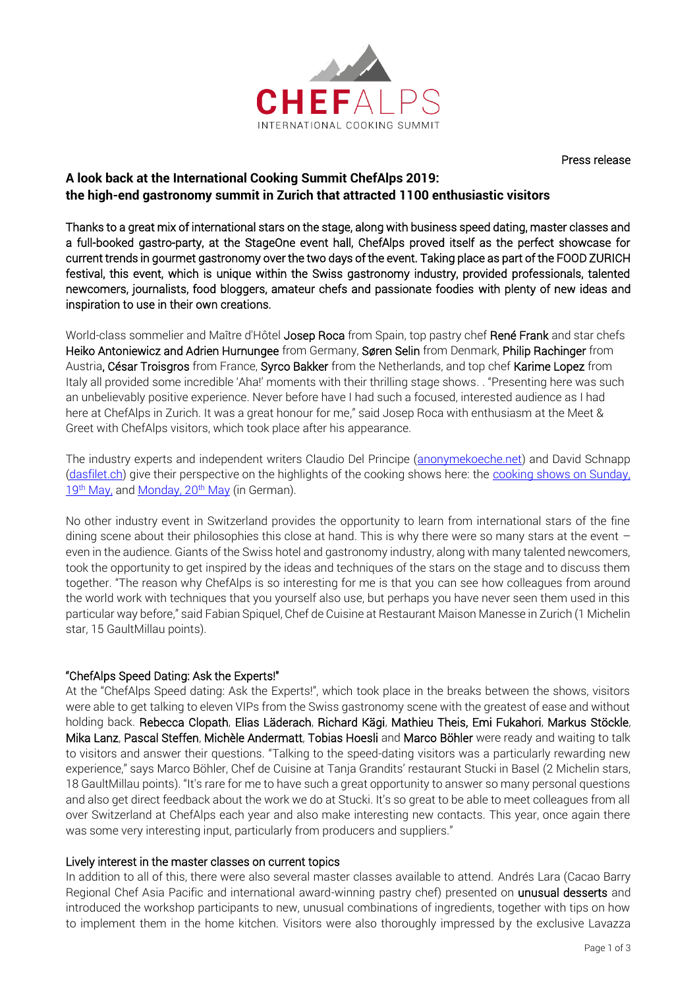

Press release

# **A look back at the International Cooking Summit ChefAlps 2019: the high-end gastronomy summit in Zurich that attracted 1100 enthusiastic visitors**

Thanks to a great mix of international stars on the stage, along with business speed dating, master classes and a full-booked gastro-party, at the StageOne event hall, ChefAlps proved itself as the perfect showcase for current trends in gourmet gastronomy over the two days of the event. Taking place as part of the FOOD ZURICH festival, this event, which is unique within the Swiss gastronomy industry, provided professionals, talented newcomers, journalists, food bloggers, amateur chefs and passionate foodies with plenty of new ideas and inspiration to use in their own creations.

World-class sommelier and Maître d'Hôtel Josep Roca from Spain, top pastry chef René Frank and star chefs Heiko Antoniewicz and Adrien Hurnungee from Germany, Søren Selin from Denmark, Philip Rachinger from Austria, César Troisgros from France, Syrco Bakker from the Netherlands, and top chef Karime Lopez from Italy all provided some incredible 'Aha!' moments with their thrilling stage shows. . "Presenting here was such an unbelievably positive experience. Never before have I had such a focused, interested audience as I had here at ChefAlps in Zurich. It was a great honour for me," said Josep Roca with enthusiasm at the Meet & Greet with ChefAlps visitors, which took place after his appearance.

The industry experts and independent writers Claudio Del Principe [\(anonymekoeche.net\)](http://www.anonymekoeche.net/) and David Schnapp [\(dasfilet.ch\)](https://www.dasfilet.ch/) give their perspective on the highlights of the cooking shows here: the cooking shows on Sunday, 19<sup>th</sup> [May,](https://www.anonymekoeche.net/?p=8732) and <u>Monday, 20<sup>th</sup> May</u> (in German).

No other industry event in Switzerland provides the opportunity to learn from international stars of the fine dining scene about their philosophies this close at hand. This is why there were so many stars at the event – even in the audience. Giants of the Swiss hotel and gastronomy industry, along with many talented newcomers, took the opportunity to get inspired by the ideas and techniques of the stars on the stage and to discuss them together. "The reason why ChefAlps is so interesting for me is that you can see how colleagues from around the world work with techniques that you yourself also use, but perhaps you have never seen them used in this particular way before," said Fabian Spiquel, Chef de Cuisine at Restaurant Maison Manesse in Zurich (1 Michelin star, 15 GaultMillau points).

# "ChefAlps Speed Dating: Ask the Experts!"

At the "ChefAlps Speed dating: Ask the Experts!", which took place in the breaks between the shows, visitors were able to get talking to eleven VIPs from the Swiss gastronomy scene with the greatest of ease and without holding back. Rebecca Clopath, Elias Läderach, Richard Kägi, Mathieu Theis, Emi Fukahori, Markus Stöckle, Mika Lanz, Pascal Steffen, Michèle Andermatt, Tobias Hoesli and Marco Böhler were ready and waiting to talk to visitors and answer their questions. "Talking to the speed-dating visitors was a particularly rewarding new experience," says Marco Böhler, Chef de Cuisine at Tanja Grandits' restaurant Stucki in Basel (2 Michelin stars, 18 GaultMillau points). "It's rare for me to have such a great opportunity to answer so many personal questions and also get direct feedback about the work we do at Stucki. It's so great to be able to meet colleagues from all over Switzerland at ChefAlps each year and also make interesting new contacts. This year, once again there was some very interesting input, particularly from producers and suppliers."

#### Lively interest in the master classes on current topics

In addition to all of this, there were also several master classes available to attend. Andrés Lara (Cacao Barry Regional Chef Asia Pacific and international award-winning pastry chef) presented on unusual desserts and introduced the workshop participants to new, unusual combinations of ingredients, together with tips on how to implement them in the home kitchen. Visitors were also thoroughly impressed by the exclusive Lavazza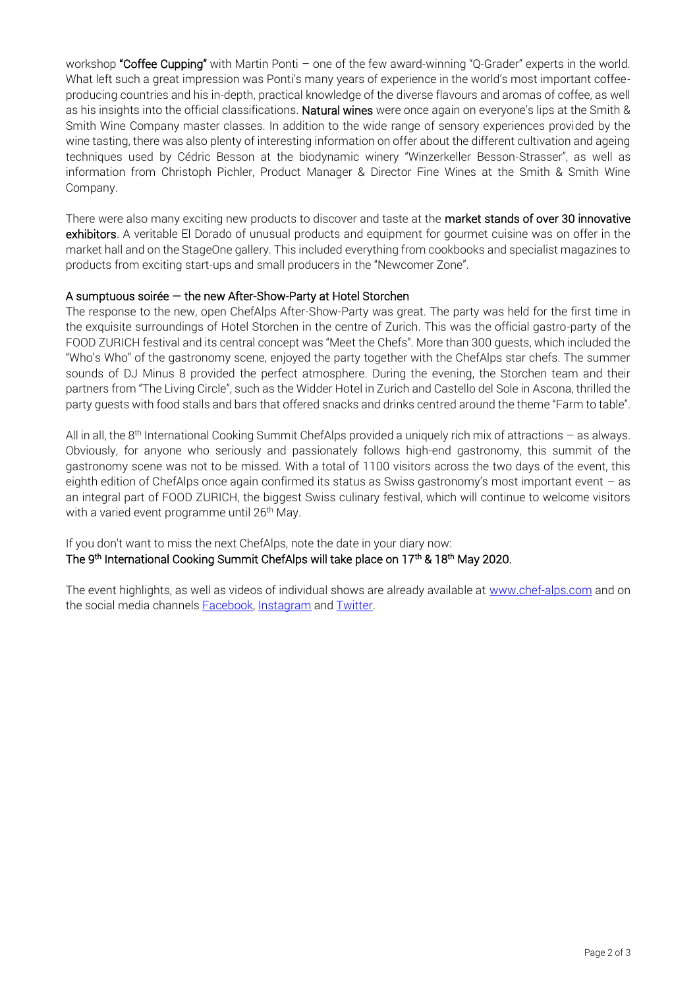workshop "Coffee Cupping" with Martin Ponti – one of the few award-winning "Q-Grader" experts in the world. What left such a great impression was Ponti's many years of experience in the world's most important coffeeproducing countries and his in-depth, practical knowledge of the diverse flavours and aromas of coffee, as well as his insights into the official classifications. Natural wines were once again on everyone's lips at the Smith & Smith Wine Company master classes. In addition to the wide range of sensory experiences provided by the wine tasting, there was also plenty of interesting information on offer about the different cultivation and ageing techniques used by Cédric Besson at the biodynamic winery "Winzerkeller Besson-Strasser", as well as information from Christoph Pichler, Product Manager & Director Fine Wines at the Smith & Smith Wine Company.

There were also many exciting new products to discover and taste at the market stands of over 30 innovative exhibitors. A veritable El Dorado of unusual products and equipment for gourmet cuisine was on offer in the market hall and on the StageOne gallery. This included everything from cookbooks and specialist magazines to products from exciting start-ups and small producers in the "Newcomer Zone".

# A sumptuous soirée — the new After-Show-Party at Hotel Storchen

The response to the new, open ChefAlps After-Show-Party was great. The party was held for the first time in the exquisite surroundings of Hotel Storchen in the centre of Zurich. This was the official gastro-party of the FOOD ZURICH festival and its central concept was "Meet the Chefs". More than 300 guests, which included the "Who's Who" of the gastronomy scene, enjoyed the party together with the ChefAlps star chefs. The summer sounds of DJ Minus 8 provided the perfect atmosphere. During the evening, the Storchen team and their partners from "The Living Circle", such as the Widder Hotel in Zurich and Castello del Sole in Ascona, thrilled the party guests with food stalls and bars that offered snacks and drinks centred around the theme "Farm to table".

All in all, the 8<sup>th</sup> International Cooking Summit ChefAlps provided a uniquely rich mix of attractions  $-$  as always. Obviously, for anyone who seriously and passionately follows high-end gastronomy, this summit of the gastronomy scene was not to be missed. With a total of 1100 visitors across the two days of the event, this eighth edition of ChefAlps once again confirmed its status as Swiss gastronomy's most important event – as an integral part of FOOD ZURICH, the biggest Swiss culinary festival, which will continue to welcome visitors with a varied event programme until 26<sup>th</sup> May.

If you don't want to miss the next ChefAlps, note the date in your diary now: The 9<sup>th</sup> International Cooking Summit ChefAlps will take place on 17<sup>th</sup> & 18<sup>th</sup> May 2020.

The event highlights, as well as videos of individual shows are already available at [www.chef-alps.com](http://www.chef-alps.com/) and on the social media channel[s Facebook,](https://www.facebook.com/chefalps?ref=hl) [Instagram](https://www.instagram.com/chefalps/) an[d Twitter.](https://twitter.com/chefalps)